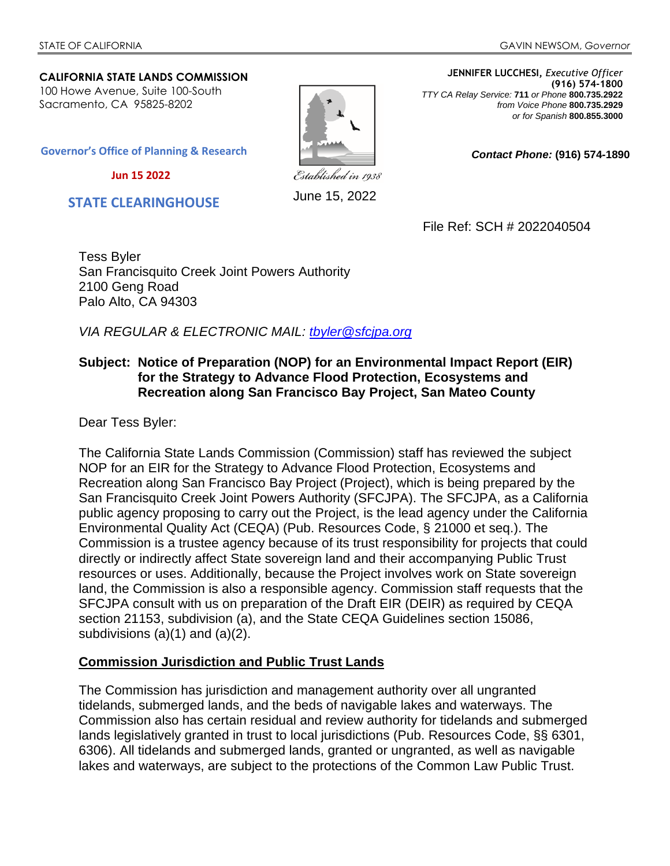*Contact Phone:* **(916) 574-1890**

#### **CALIFORNIA STATE LANDS COMMISSION** 100 Howe Avenue, Suite 100-South Sacramento, CA 95825-8202

June 15, 2022

**JENNIFER LUCCHESI,** *Executive Officer* **(916) 574-1800**  *TTY CA Relay Service:* **711** *or Phone* **800.735.2922** *from Voice Phone* **800.735.2929**  *or for Spanish* **800.855.3000**

**Governor's Office of Planning & Research**

 **Jun 15 2022**

 **STATE CLEARINGHOUSE**

File Ref: SCH # 2022040504

Tess Byler San Francisquito Creek Joint Powers Authority 2100 Geng Road Palo Alto, CA 94303

*VIA REGULAR & ELECTRONIC MAIL: tbyler@sfcjpa.org*

### **Subject: Notice of Preparation (NOP) for an Environmental Impact Report (EIR) for the Strategy to Advance Flood Protection, Ecosystems and Recreation along San Francisco Bay Project, San Mateo County**

Dear Tess Byler:

The California State Lands Commission (Commission) staff has reviewed the subject NOP for an EIR for the Strategy to Advance Flood Protection, Ecosystems and Recreation along San Francisco Bay Project (Project), which is being prepared by the San Francisquito Creek Joint Powers Authority (SFCJPA). The SFCJPA, as a California public agency proposing to carry out the Project, is the lead agency under the California Environmental Quality Act (CEQA) (Pub. Resources Code, § 21000 et seq.). The Commission is a trustee agency because of its trust responsibility for projects that could directly or indirectly affect State sovereign land and their accompanying Public Trust resources or uses. Additionally, because the Project involves work on State sovereign land, the Commission is also a responsible agency. Commission staff requests that the SFCJPA consult with us on preparation of the Draft EIR (DEIR) as required by CEQA section 21153, subdivision (a), and the State CEQA Guidelines section 15086, subdivisions (a)(1) and (a)(2).

### **Commission Jurisdiction and Public Trust Lands**

The Commission has jurisdiction and management authority over all ungranted tidelands, submerged lands, and the beds of navigable lakes and waterways. The Commission also has certain residual and review authority for tidelands and submerged lands legislatively granted in trust to local jurisdictions (Pub. Resources Code, §§ 6301, 6306). All tidelands and submerged lands, granted or ungranted, as well as navigable lakes and waterways, are subject to the protections of the Common Law Public Trust.

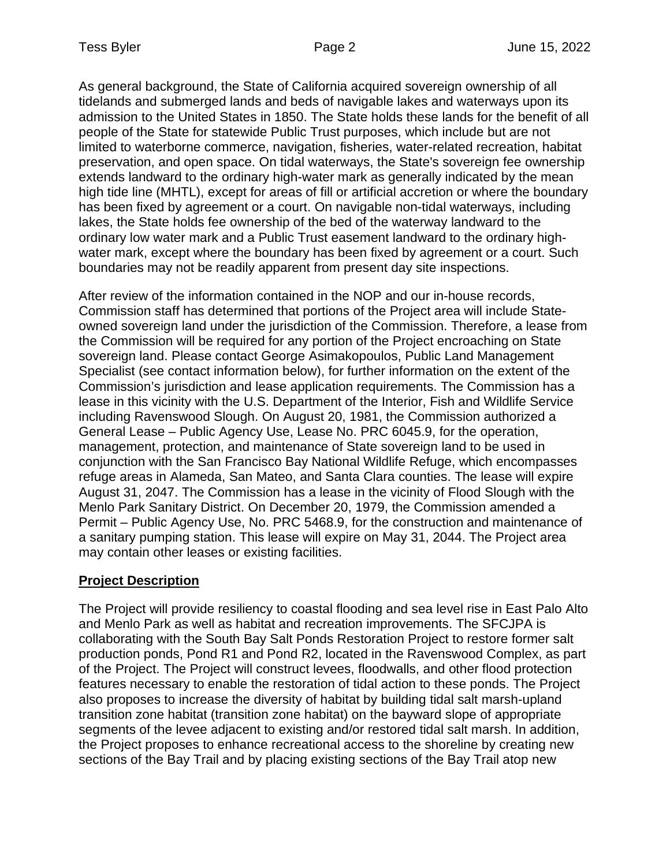As general background, the State of California acquired sovereign ownership of all tidelands and submerged lands and beds of navigable lakes and waterways upon its admission to the United States in 1850. The State holds these lands for the benefit of all people of the State for statewide Public Trust purposes, which include but are not limited to waterborne commerce, navigation, fisheries, water-related recreation, habitat preservation, and open space. On tidal waterways, the State's sovereign fee ownership extends landward to the ordinary high-water mark as generally indicated by the mean high tide line (MHTL), except for areas of fill or artificial accretion or where the boundary has been fixed by agreement or a court. On navigable non-tidal waterways, including lakes, the State holds fee ownership of the bed of the waterway landward to the ordinary low water mark and a Public Trust easement landward to the ordinary highwater mark, except where the boundary has been fixed by agreement or a court. Such boundaries may not be readily apparent from present day site inspections.

After review of the information contained in the NOP and our in-house records, Commission staff has determined that portions of the Project area will include Stateowned sovereign land under the jurisdiction of the Commission. Therefore, a lease from the Commission will be required for any portion of the Project encroaching on State sovereign land. Please contact George Asimakopoulos, Public Land Management Specialist (see contact information below), for further information on the extent of the Commission's jurisdiction and lease application requirements. The Commission has a lease in this vicinity with the U.S. Department of the Interior, Fish and Wildlife Service including Ravenswood Slough. On August 20, 1981, the Commission authorized a General Lease – Public Agency Use, Lease No. PRC 6045.9, for the operation, management, protection, and maintenance of State sovereign land to be used in conjunction with the San Francisco Bay National Wildlife Refuge, which encompasses refuge areas in Alameda, San Mateo, and Santa Clara counties. The lease will expire August 31, 2047. The Commission has a lease in the vicinity of Flood Slough with the Menlo Park Sanitary District. On December 20, 1979, the Commission amended a Permit – Public Agency Use, No. PRC 5468.9, for the construction and maintenance of a sanitary pumping station. This lease will expire on May 31, 2044. The Project area may contain other leases or existing facilities.

# **Project Description**

The Project will provide resiliency to coastal flooding and sea level rise in East Palo Alto and Menlo Park as well as habitat and recreation improvements. The SFCJPA is collaborating with the South Bay Salt Ponds Restoration Project to restore former salt production ponds, Pond R1 and Pond R2, located in the Ravenswood Complex, as part of the Project. The Project will construct levees, floodwalls, and other flood protection features necessary to enable the restoration of tidal action to these ponds. The Project also proposes to increase the diversity of habitat by building tidal salt marsh-upland transition zone habitat (transition zone habitat) on the bayward slope of appropriate segments of the levee adjacent to existing and/or restored tidal salt marsh. In addition, the Project proposes to enhance recreational access to the shoreline by creating new sections of the Bay Trail and by placing existing sections of the Bay Trail atop new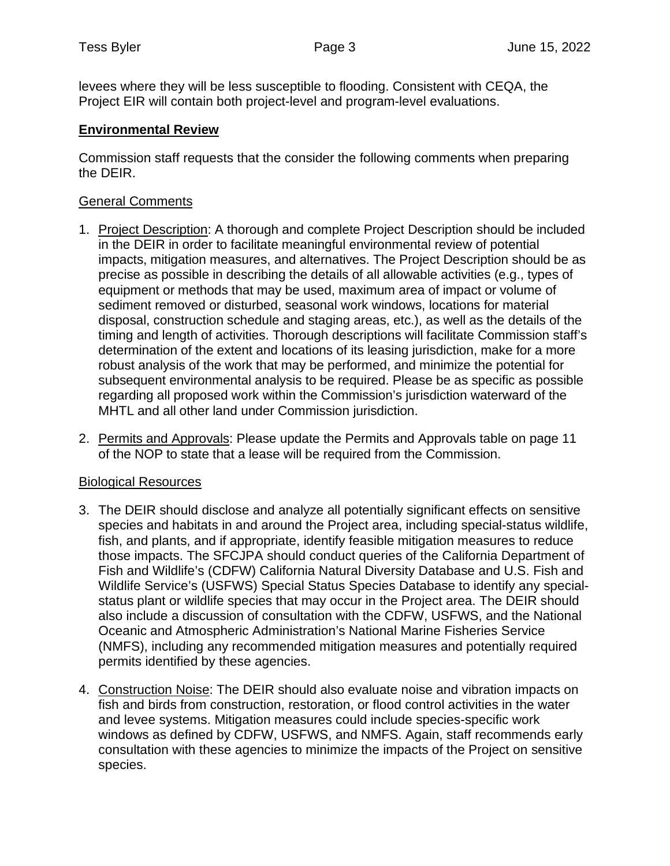levees where they will be less susceptible to flooding. Consistent with CEQA, the Project EIR will contain both project-level and program-level evaluations.

### **Environmental Review**

Commission staff requests that the consider the following comments when preparing the DEIR.

### General Comments

- 1. Project Description: A thorough and complete Project Description should be included in the DEIR in order to facilitate meaningful environmental review of potential impacts, mitigation measures, and alternatives. The Project Description should be as precise as possible in describing the details of all allowable activities (e.g., types of equipment or methods that may be used, maximum area of impact or volume of sediment removed or disturbed, seasonal work windows, locations for material disposal, construction schedule and staging areas, etc.), as well as the details of the timing and length of activities. Thorough descriptions will facilitate Commission staff's determination of the extent and locations of its leasing jurisdiction, make for a more robust analysis of the work that may be performed, and minimize the potential for subsequent environmental analysis to be required. Please be as specific as possible regarding all proposed work within the Commission's jurisdiction waterward of the MHTL and all other land under Commission jurisdiction.
- 2. Permits and Approvals: Please update the Permits and Approvals table on page 11 of the NOP to state that a lease will be required from the Commission.

### Biological Resources

- 3. The DEIR should disclose and analyze all potentially significant effects on sensitive species and habitats in and around the Project area, including special-status wildlife, fish, and plants, and if appropriate, identify feasible mitigation measures to reduce those impacts. The SFCJPA should conduct queries of the California Department of Fish and Wildlife's (CDFW) California Natural Diversity Database and U.S. Fish and Wildlife Service's (USFWS) Special Status Species Database to identify any specialstatus plant or wildlife species that may occur in the Project area. The DEIR should also include a discussion of consultation with the CDFW, USFWS, and the National Oceanic and Atmospheric Administration's National Marine Fisheries Service (NMFS), including any recommended mitigation measures and potentially required permits identified by these agencies.
- 4. Construction Noise: The DEIR should also evaluate noise and vibration impacts on fish and birds from construction, restoration, or flood control activities in the water and levee systems. Mitigation measures could include species-specific work windows as defined by CDFW, USFWS, and NMFS. Again, staff recommends early consultation with these agencies to minimize the impacts of the Project on sensitive species.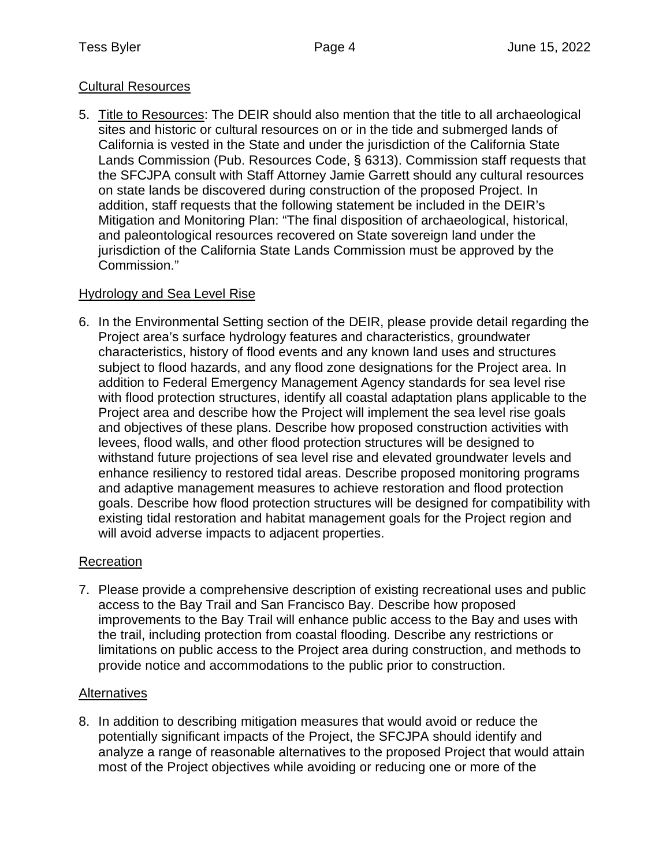# Cultural Resources

5. Title to Resources: The DEIR should also mention that the title to all archaeological sites and historic or cultural resources on or in the tide and submerged lands of California is vested in the State and under the jurisdiction of the California State Lands Commission (Pub. Resources Code, § 6313). Commission staff requests that the SFCJPA consult with Staff Attorney Jamie Garrett should any cultural resources on state lands be discovered during construction of the proposed Project. In addition, staff requests that the following statement be included in the DEIR's Mitigation and Monitoring Plan: "The final disposition of archaeological, historical, and paleontological resources recovered on State sovereign land under the jurisdiction of the California State Lands Commission must be approved by the Commission."

# Hydrology and Sea Level Rise

6. In the Environmental Setting section of the DEIR, please provide detail regarding the Project area's surface hydrology features and characteristics, groundwater characteristics, history of flood events and any known land uses and structures subject to flood hazards, and any flood zone designations for the Project area. In addition to Federal Emergency Management Agency standards for sea level rise with flood protection structures, identify all coastal adaptation plans applicable to the Project area and describe how the Project will implement the sea level rise goals and objectives of these plans. Describe how proposed construction activities with levees, flood walls, and other flood protection structures will be designed to withstand future projections of sea level rise and elevated groundwater levels and enhance resiliency to restored tidal areas. Describe proposed monitoring programs and adaptive management measures to achieve restoration and flood protection goals. Describe how flood protection structures will be designed for compatibility with existing tidal restoration and habitat management goals for the Project region and will avoid adverse impacts to adjacent properties.

# Recreation

7. Please provide a comprehensive description of existing recreational uses and public access to the Bay Trail and San Francisco Bay. Describe how proposed improvements to the Bay Trail will enhance public access to the Bay and uses with the trail, including protection from coastal flooding. Describe any restrictions or limitations on public access to the Project area during construction, and methods to provide notice and accommodations to the public prior to construction.

### **Alternatives**

8. In addition to describing mitigation measures that would avoid or reduce the potentially significant impacts of the Project, the SFCJPA should identify and analyze a range of reasonable alternatives to the proposed Project that would attain most of the Project objectives while avoiding or reducing one or more of the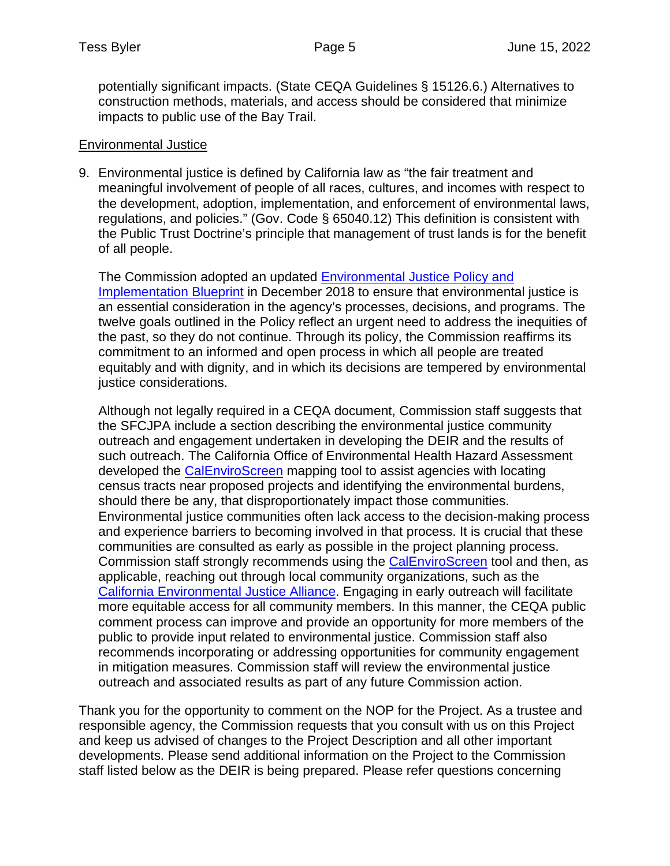potentially significant impacts. (State CEQA Guidelines § 15126.6.) Alternatives to construction methods, materials, and access should be considered that minimize impacts to public use of the Bay Trail.

### Environmental Justice

9. Environmental justice is defined by California law as "the fair treatment and meaningful involvement of people of all races, cultures, and incomes with respect to the development, adoption, implementation, and enforcement of environmental laws, regulations, and policies." (Gov. Code § 65040.12) This definition is consistent with the Public Trust Doctrine's principle that management of trust lands is for the benefit of all people.

The Commission adopted an updated Environmental Justice Policy and Implementation Blueprint in December 2018 to ensure that environmental iustice is an essential consideration in the agency's processes, decisions, and programs. The twelve goals outlined in the Policy reflect an urgent need to address the inequities of the past, so they do not continue. Through its policy, the Commission reaffirms its commitment to an informed and open process in which all people are treated equitably and with dignity, and in which its decisions are tempered by environmental justice considerations.

Although not legally required in a CEQA document, Commission staff suggests that the SFCJPA include a section describing the environmental justice community outreach and engagement undertaken in developing the DEIR and the results of such outreach. The California Office of Environmental Health Hazard Assessment developed the CalEnviroScreen mapping tool to assist agencies with locating census tracts near proposed projects and identifying the environmental burdens, should there be any, that disproportionately impact those communities. Environmental justice communities often lack access to the decision-making process and experience barriers to becoming involved in that process. It is crucial that these communities are consulted as early as possible in the project planning process. Commission staff strongly recommends using the CalEnviroScreen tool and then, as applicable, reaching out through local community organizations, such as the California Environmental Justice Alliance. Engaging in early outreach will facilitate more equitable access for all community members. In this manner, the CEQA public comment process can improve and provide an opportunity for more members of the public to provide input related to environmental justice. Commission staff also recommends incorporating or addressing opportunities for community engagement in mitigation measures. Commission staff will review the environmental justice outreach and associated results as part of any future Commission action.

Thank you for the opportunity to comment on the NOP for the Project. As a trustee and responsible agency, the Commission requests that you consult with us on this Project and keep us advised of changes to the Project Description and all other important developments. Please send additional information on the Project to the Commission staff listed below as the DEIR is being prepared. Please refer questions concerning